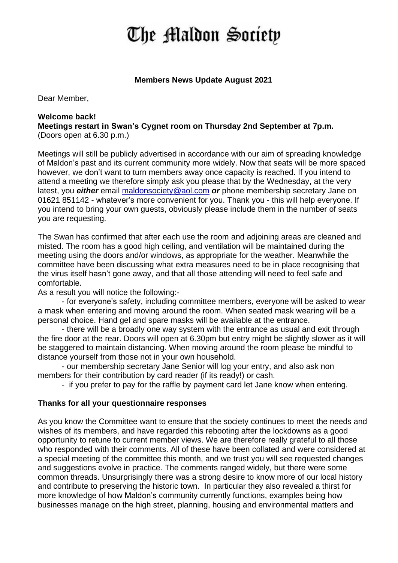# The Maldon Society

## **Members News Update August 2021**

Dear Member,

## **Welcome back! Meetings restart in Swan's Cygnet room on Thursday 2nd September at 7p.m.**

(Doors open at 6.30 p.m.)

Meetings will still be publicly advertised in accordance with our aim of spreading knowledge of Maldon's past and its current community more widely. Now that seats will be more spaced however, we don't want to turn members away once capacity is reached. If you intend to attend a meeting we therefore simply ask you please that by the Wednesday, at the very latest, you *either* email [maldonsociety@aol.com](mailto:maldonsociety@aol.com) *or* phone membership secretary Jane on 01621 851142 - whatever's more convenient for you. Thank you - this will help everyone. If you intend to bring your own guests, obviously please include them in the number of seats you are requesting.

The Swan has confirmed that after each use the room and adjoining areas are cleaned and misted. The room has a good high ceiling, and ventilation will be maintained during the meeting using the doors and/or windows, as appropriate for the weather. Meanwhile the committee have been discussing what extra measures need to be in place recognising that the virus itself hasn't gone away, and that all those attending will need to feel safe and comfortable.

As a result you will notice the following:-

- for everyone's safety, including committee members, everyone will be asked to wear a mask when entering and moving around the room. When seated mask wearing will be a personal choice. Hand gel and spare masks will be available at the entrance.

- there will be a broadly one way system with the entrance as usual and exit through the fire door at the rear. Doors will open at 6.30pm but entry might be slightly slower as it will be staggered to maintain distancing. When moving around the room please be mindful to distance yourself from those not in your own household.

- our membership secretary Jane Senior will log your entry, and also ask non members for their contribution by card reader (if its ready!) or cash.

- if you prefer to pay for the raffle by payment card let Jane know when entering.

## **Thanks for all your questionnaire responses**

As you know the Committee want to ensure that the society continues to meet the needs and wishes of its members, and have regarded this rebooting after the lockdowns as a good opportunity to retune to current member views. We are therefore really grateful to all those who responded with their comments. All of these have been collated and were considered at a special meeting of the committee this month, and we trust you will see requested changes and suggestions evolve in practice. The comments ranged widely, but there were some common threads. Unsurprisingly there was a strong desire to know more of our local history and contribute to preserving the historic town. In particular they also revealed a thirst for more knowledge of how Maldon's community currently functions, examples being how businesses manage on the high street, planning, housing and environmental matters and